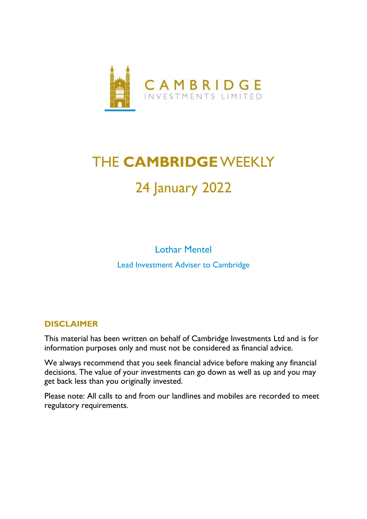

# THE **CAMBRIDGE**WEEKLY 24 January 2022

Lothar Mentel Lead Investment Adviser to Cambridge

### **DISCLAIMER**

This material has been written on behalf of Cambridge Investments Ltd and is for information purposes only and must not be considered as financial advice.

We always recommend that you seek financial advice before making any financial decisions. The value of your investments can go down as well as up and you may get back less than you originally invested.

Please note: All calls to and from our landlines and mobiles are recorded to meet regulatory requirements.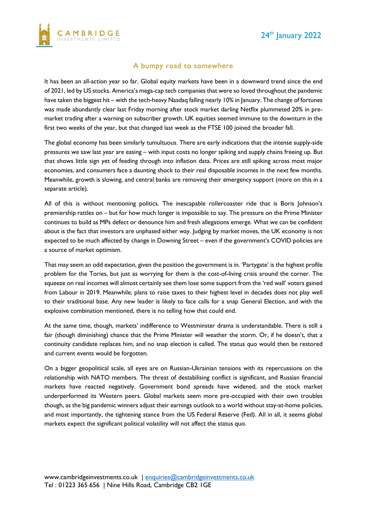

#### A bumpy road to somewhere

It has been an all-action year so far. Global equity markets have been in a downward trend since the end of 2021, led by US stocks. America's mega-cap tech companies that were so loved throughout the pandemic have taken the biggest hit – with the tech-heavy Nasdaq falling nearly 10% in January. The change of fortunes was made abundantly clear last Friday morning after stock market darling Netflix plummeted 20% in premarket trading after a warning on subscriber growth. UK equities seemed immune to the downturn in the first two weeks of the year, but that changed last week as the FTSE 100 joined the broader fall.

The global economy has been similarly tumultuous. There are early indications that the intense supply-side pressures we saw last year are easing – with input costs no longer spiking and supply chains freeing up. But that shows little sign yet of feeding through into inflation data. Prices are still spiking across most major economies, and consumers face a daunting shock to their real disposable incomes in the next few months. Meanwhile, growth is slowing, and central banks are removing their emergency support (more on this in a separate article).

All of this is without mentioning politics. The inescapable rollercoaster ride that is Boris Johnson's premiership rattles on – but for how much longer is impossible to say. The pressure on the Prime Minister continues to build as MPs defect or denounce him and fresh allegations emerge. What we can be confident about is the fact that investors are unphased either way. Judging by market moves, the UK economy is not expected to be much affected by change in Downing Street – even if the government's COVID policies are a source of market optimism.

That may seem an odd expectation, given the position the government is in. 'Partygate' is the highest profile problem for the Tories, but just as worrying for them is the cost-of-living crisis around the corner. The squeeze on real incomes will almost certainly see them lose some support from the 'red wall' voters gained from Labour in 2019. Meanwhile, plans to raise taxes to their highest level in decades does not play well to their traditional base. Any new leader is likely to face calls for a snap General Election, and with the explosive combination mentioned, there is no telling how that could end.

At the same time, though, markets' indifference to Westminster drama is understandable. There is still a fair (though diminishing) chance that the Prime Minister will weather the storm. Or, if he doesn't, that a continuity candidate replaces him, and no snap election is called. The status quo would then be restored and current events would be forgotten.

On a bigger geopolitical scale, all eyes are on Russian-Ukrainian tensions with its repercussions on the relationship with NATO members. The threat of destabilising conflict is significant, and Russian financial markets have reacted negatively. Government bond spreads have widened, and the stock market underperformed its Western peers. Global markets seem more pre-occupied with their own troubles though, as the big pandemic winners adjust their earnings outlook to a world without stay-at-home policies, and most importantly, the tightening stance from the US Federal Reserve (Fed). All in all, it seems global markets expect the significant political volatility will not affect the status quo.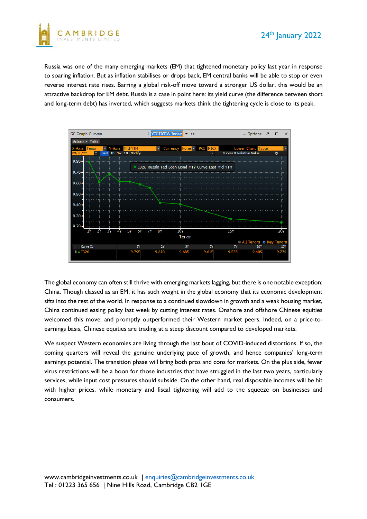



Russia was one of the many emerging markets (EM) that tightened monetary policy last year in response to soaring inflation. But as inflation stabilises or drops back, EM central banks will be able to stop or even reverse interest rate rises. Barring a global risk-off move toward a stronger US dollar, this would be an attractive backdrop for EM debt. Russia is a case in point here: its yield curve (the difference between short and long-term debt) has inverted, which suggests markets think the tightening cycle is close to its peak.



The global economy can often still thrive with emerging markets lagging, but there is one notable exception: China. Though classed as an EM, it has such weight in the global economy that its economic development sifts into the rest of the world. In response to a continued slowdown in growth and a weak housing market, China continued easing policy last week by cutting interest rates. Onshore and offshore Chinese equities welcomed this move, and promptly outperformed their Western market peers. Indeed, on a price-toearnings basis, Chinese equities are trading at a steep discount compared to developed markets.

We suspect Western economies are living through the last bout of COVID-induced distortions. If so, the coming quarters will reveal the genuine underlying pace of growth, and hence companies' long-term earnings potential. The transition phase will bring both pros and cons for markets. On the plus side, fewer virus restrictions will be a boon for those industries that have struggled in the last two years, particularly services, while input cost pressures should subside. On the other hand, real disposable incomes will be hit with higher prices, while monetary and fiscal tightening will add to the squeeze on businesses and consumers.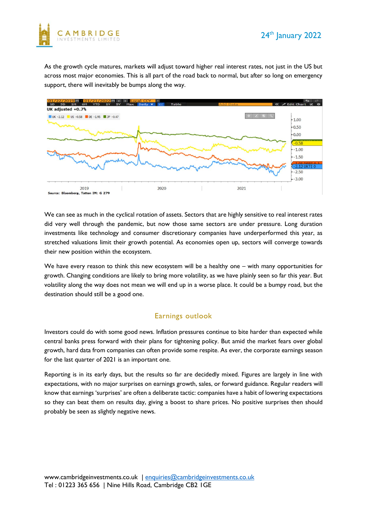



As the growth cycle matures, markets will adjust toward higher real interest rates, not just in the US but across most major economies. This is all part of the road back to normal, but after so long on emergency support, there will inevitably be bumps along the way.



We can see as much in the cyclical rotation of assets. Sectors that are highly sensitive to real interest rates did very well through the pandemic, but now those same sectors are under pressure. Long duration investments like technology and consumer discretionary companies have underperformed this year, as stretched valuations limit their growth potential. As economies open up, sectors will converge towards their new position within the ecosystem.

We have every reason to think this new ecosystem will be a healthy one – with many opportunities for growth. Changing conditions are likely to bring more volatility, as we have plainly seen so far this year. But volatility along the way does not mean we will end up in a worse place. It could be a bumpy road, but the destination should still be a good one.

#### Earnings outlook

Investors could do with some good news. Inflation pressures continue to bite harder than expected while central banks press forward with their plans for tightening policy. But amid the market fears over global growth, hard data from companies can often provide some respite. As ever, the corporate earnings season for the last quarter of 2021 is an important one.

Reporting is in its early days, but the results so far are decidedly mixed. Figures are largely in line with expectations, with no major surprises on earnings growth, sales, or forward guidance. Regular readers will know that earnings 'surprises' are often a deliberate tactic: companies have a habit of lowering expectations so they can beat them on results day, giving a boost to share prices. No positive surprises then should probably be seen as slightly negative news.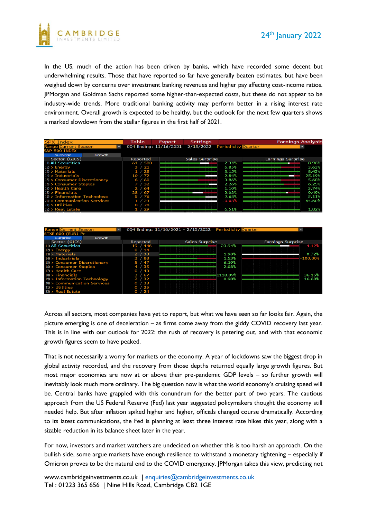



In the US, much of the action has been driven by banks, which have recorded some decent but underwhelming results. Those that have reported so far have generally beaten estimates, but have been weighed down by concerns over investment banking revenues and higher pay affecting cost-income ratios. JPMorgan and Goldman Sachs reported some higher-than-expected costs, but these do not appear to be industry-wide trends. More traditional banking activity may perform better in a rising interest rate environment. Overall growth is expected to be healthy, but the outlook for the next few quarters shows a marked slowdown from the stellar figures in the first half of 2021.

| <b>SPX Index</b>             | Table                    | <b>Export</b> | <b>Settings</b>                                        |          | <b>Earnings Analysis</b> |        |
|------------------------------|--------------------------|---------------|--------------------------------------------------------|----------|--------------------------|--------|
| <b>Range Current Season</b>  | $\overline{\phantom{a}}$ |               | CQ4 Ending: 11/16/2021 - 2/15/2022 Periodicity Quarter |          |                          |        |
| <b>S&amp;P 500 INDEX</b>     |                          |               |                                                        |          |                          |        |
| Surprise<br>Growth           |                          |               |                                                        |          |                          |        |
| Sector (GICS)                | Reported                 |               | Sales Surprise                                         |          | Earnings Surprise        |        |
| 11) All Securities           | 64 / 500                 |               |                                                        | 2.34%    |                          | 8.96%  |
| $12$ > Energy                | 3 / 21                   |               |                                                        | 6.85%    |                          | 3.63%  |
| $13$ > Materials             | 1/28                     |               |                                                        | 3.15%    |                          | 8.43%  |
| $14$ > Industrials           | $10^{2}$ / 72            |               |                                                        | 2.84%    |                          | 25.19% |
| 15) > Consumer Discretionary | 6 / 60                   |               |                                                        | 3.86%    |                          | 5.68%  |
| 10 > Consumer Staples        | 7/32                     |               |                                                        | 2.26%    |                          | 6.25%  |
| 17) > Health Care            | 2/64                     |               |                                                        | 1.10%    |                          | 3.74%  |
| $18$ > Financials            | 28 / 67                  |               |                                                        | 2.02%    |                          | 9.49%  |
| 19) > Information Technology | /76<br>5.                |               |                                                        | 2.68%    |                          | 5.11%  |
| 20) > Communication Services | 23                       |               |                                                        | $-0.03%$ |                          | 64.60% |
| $2D >$ Utilities             | $^{\prime}$ 28           |               |                                                        |          |                          |        |
| 22) > Real Estate            | 1 / 29                   |               |                                                        | 6.51%    |                          | 1.82%  |

| <b>Range Current Season</b>  |                 | CQ4 Ending: $11/16/2021 - 2/15/2022$ Periodicity Quarter | $\overline{\phantom{0}}$ |  |  |
|------------------------------|-----------------|----------------------------------------------------------|--------------------------|--|--|
| STXE 600 (EUR) Pr            |                 |                                                          |                          |  |  |
| Surprise<br>Growth           |                 |                                                          |                          |  |  |
| Sector (GICS)                | Reported        | <b>Sales Surprise</b>                                    | <b>Earnings Surprise</b> |  |  |
| 10 All Securities            | 19/446          | 23.94%                                                   | $-4.12%$                 |  |  |
| $12$ > Energy                | /14<br>$\Omega$ |                                                          |                          |  |  |
| $13$ > Materials             | 2 / 38          | 1.90%                                                    | 0.72%                    |  |  |
| $14$ > Industrials           | 3/88            | 1.53%                                                    | $-100.00%$               |  |  |
| 15) > Consumer Discretionary | 5/47            | 6.19%                                                    |                          |  |  |
| 16 > Consumer Staples        | /35             | 2.08%                                                    |                          |  |  |
| 17 > Health Care             | $-43$           |                                                          |                          |  |  |
| $18$ > Financials            | 3/67            | 1118.09%                                                 | 36.15%                   |  |  |
| 19) > Information Technology | $2^{2}$ / 32    | 0.98%                                                    | 16.68%                   |  |  |
| 20) > Communication Services | /33             |                                                          |                          |  |  |
| $2D >$ Utilities             | 25              |                                                          |                          |  |  |
| 22 > Real Estate             | /24             |                                                          |                          |  |  |

Across all sectors, most companies have yet to report, but what we have seen so far looks fair. Again, the picture emerging is one of deceleration – as firms come away from the giddy COVID recovery last year. This is in line with our outlook for 2022: the rush of recovery is petering out, and with that economic growth figures seem to have peaked.

That is not necessarily a worry for markets or the economy. A year of lockdowns saw the biggest drop in global activity recorded, and the recovery from those depths returned equally large growth figures. But most major economies are now at or above their pre-pandemic GDP levels – so further growth will inevitably look much more ordinary. The big question now is what the world economy's cruising speed will be. Central banks have grappled with this conundrum for the better part of two years. The cautious approach from the US Federal Reserve (Fed) last year suggested policymakers thought the economy still needed help. But after inflation spiked higher and higher, officials changed course dramatically. According to its latest communications, the Fed is planning at least three interest rate hikes this year, along with a sizable reduction in its balance sheet later in the year.

For now, investors and market watchers are undecided on whether this is too harsh an approach. On the bullish side, some argue markets have enough resilience to withstand a monetary tightening – especially if Omicron proves to be the natural end to the COVID emergency. JPMorgan takes this view, predicting not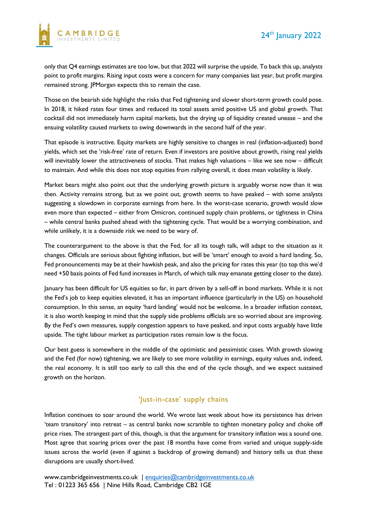

only that Q4 earnings estimates are too low, but that 2022 will surprise the upside. To back this up, analysts point to profit margins. Rising input costs were a concern for many companies last year, but profit margins remained strong. JPMorgan expects this to remain the case.

Those on the bearish side highlight the risks that Fed tightening and slower short-term growth could pose. In 2018, it hiked rates four times and reduced its total assets amid positive US and global growth. That cocktail did not immediately harm capital markets, but the drying up of liquidity created unease – and the ensuing volatility caused markets to swing downwards in the second half of the year.

That episode is instructive. Equity markets are highly sensitive to changes in real (inflation-adjusted) bond yields, which set the 'risk-free' rate of return. Even if investors are positive about growth, rising real yields will inevitably lower the attractiveness of stocks. That makes high valuations – like we see now – difficult to maintain. And while this does not stop equities from rallying overall, it does mean volatility is likely.

Market bears might also point out that the underlying growth picture is arguably worse now than it was then. Activity remains strong, but as we point out, growth seems to have peaked – with some analysts suggesting a slowdown in corporate earnings from here. In the worst-case scenario, growth would slow even more than expected – either from Omicron, continued supply chain problems, or tightness in China – while central banks pushed ahead with the tightening cycle. That would be a worrying combination, and while unlikely, it is a downside risk we need to be wary of.

The counterargument to the above is that the Fed, for all its tough talk, will adapt to the situation as it changes. Officials are serious about fighting inflation, but will be 'smart' enough to avoid a hard landing. So, Fed pronouncements may be at their hawkish peak, and also the pricing for rates this year (to top this we'd need +50 basis points of Fed fund increases in March, of which talk may emanate getting closer to the date).

January has been difficult for US equities so far, in part driven by a sell-off in bond markets. While it is not the Fed's job to keep equities elevated, it has an important influence (particularly in the US) on household consumption. In this sense, an equity 'hard landing' would not be welcome. In a broader inflation context, it is also worth keeping in mind that the supply side problems officials are so worried about are improving. By the Fed's own measures, supply congestion appears to have peaked, and input costs arguably have little upside. The tight labour market as participation rates remain low is the focus.

Our best guess is somewhere in the middle of the optimistic and pessimistic cases. With growth slowing and the Fed (for now) tightening, we are likely to see more volatility in earnings, equity values and, indeed, the real economy. It is still too early to call this the end of the cycle though, and we expect sustained growth on the horizon.

#### 'Just-in-case' supply chains

Inflation continues to soar around the world. We wrote last week about how its persistence has driven 'team transitory' into retreat – as central banks now scramble to tighten monetary policy and choke off price rises. The strangest part of this, though, is that the argument for transitory inflation was a sound one. Most agree that soaring prices over the past 18 months have come from varied and unique supply-side issues across the world (even if against a backdrop of growing demand) and history tells us that these disruptions are usually short-lived.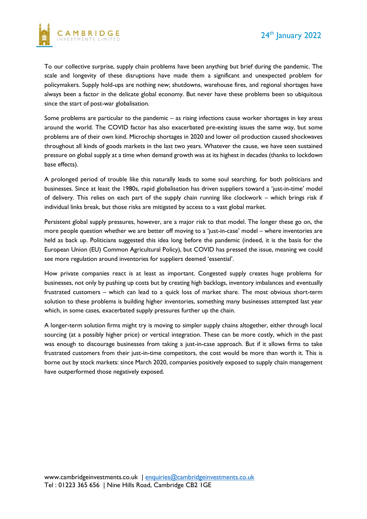

To our collective surprise, supply chain problems have been anything but brief during the pandemic. The scale and longevity of these disruptions have made them a significant and unexpected problem for policymakers. Supply hold-ups are nothing new; shutdowns, warehouse fires, and regional shortages have always been a factor in the delicate global economy. But never have these problems been so ubiquitous since the start of post-war globalisation.

Some problems are particular to the pandemic – as rising infections cause worker shortages in key areas around the world. The COVID factor has also exacerbated pre-existing issues the same way, but some problems are of their own kind. Microchip shortages in 2020 and lower oil production caused shockwaves throughout all kinds of goods markets in the last two years. Whatever the cause, we have seen sustained pressure on global supply at a time when demand growth was at its highest in decades (thanks to lockdown base effects).

A prolonged period of trouble like this naturally leads to some soul searching, for both politicians and businesses. Since at least the 1980s, rapid globalisation has driven suppliers toward a 'just-in-time' model of delivery. This relies on each part of the supply chain running like clockwork – which brings risk if individual links break, but those risks are mitigated by access to a vast global market.

Persistent global supply pressures, however, are a major risk to that model. The longer these go on, the more people question whether we are better off moving to a 'just-in-case' model – where inventories are held as back up. Politicians suggested this idea long before the pandemic (indeed, it is the basis for the European Union (EU) Common Agricultural Policy), but COVID has pressed the issue, meaning we could see more regulation around inventories for suppliers deemed 'essential'.

How private companies react is at least as important. Congested supply creates huge problems for businesses, not only by pushing up costs but by creating high backlogs, inventory imbalances and eventually frustrated customers – which can lead to a quick loss of market share. The most obvious short-term solution to these problems is building higher inventories, something many businesses attempted last year which, in some cases, exacerbated supply pressures further up the chain.

A longer-term solution firms might try is moving to simpler supply chains altogether, either through local sourcing (at a possibly higher price) or vertical integration. These can be more costly, which in the past was enough to discourage businesses from taking a just-in-case approach. But if it allows firms to take frustrated customers from their just-in-time competitors, the cost would be more than worth it. This is borne out by stock markets: since March 2020, companies positively exposed to supply chain management have outperformed those negatively exposed.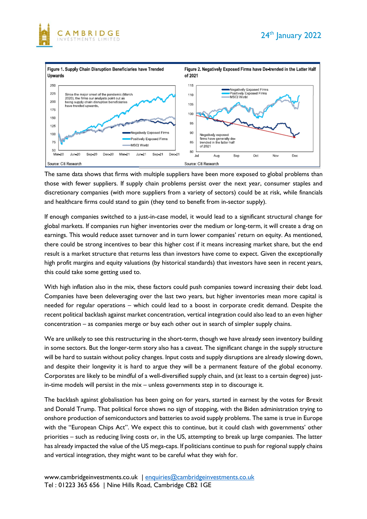



The same data shows that firms with multiple suppliers have been more exposed to global problems than those with fewer suppliers. If supply chain problems persist over the next year, consumer staples and discretionary companies (with more suppliers from a variety of sectors) could be at risk, while financials and healthcare firms could stand to gain (they tend to benefit from in-sector supply).

If enough companies switched to a just-in-case model, it would lead to a significant structural change for global markets. If companies run higher inventories over the medium or long-term, it will create a drag on earnings. This would reduce asset turnover and in turn lower companies' return on equity. As mentioned, there could be strong incentives to bear this higher cost if it means increasing market share, but the end result is a market structure that returns less than investors have come to expect. Given the exceptionally high profit margins and equity valuations (by historical standards) that investors have seen in recent years, this could take some getting used to.

With high inflation also in the mix, these factors could push companies toward increasing their debt load. Companies have been deleveraging over the last two years, but higher inventories mean more capital is needed for regular operations – which could lead to a boost in corporate credit demand. Despite the recent political backlash against market concentration, vertical integration could also lead to an even higher concentration – as companies merge or buy each other out in search of simpler supply chains.

We are unlikely to see this restructuring in the short-term, though we have already seen inventory building in some sectors. But the longer-term story also has a caveat. The significant change in the supply structure will be hard to sustain without policy changes. Input costs and supply disruptions are already slowing down, and despite their longevity it is hard to argue they will be a permanent feature of the global economy. Corporates are likely to be mindful of a well-diversified supply chain, and (at least to a certain degree) justin-time models will persist in the mix – unless governments step in to discourage it.

The backlash against globalisation has been going on for years, started in earnest by the votes for Brexit and Donald Trump. That political force shows no sign of stopping, with the Biden administration trying to onshore production of semiconductors and batteries to avoid supply problems. The same is true in Europe with the "European Chips Act". We expect this to continue, but it could clash with governments' other priorities – such as reducing living costs or, in the US, attempting to break up large companies. The latter has already impacted the value of the US mega-caps. If politicians continue to push for regional supply chains and vertical integration, they might want to be careful what they wish for.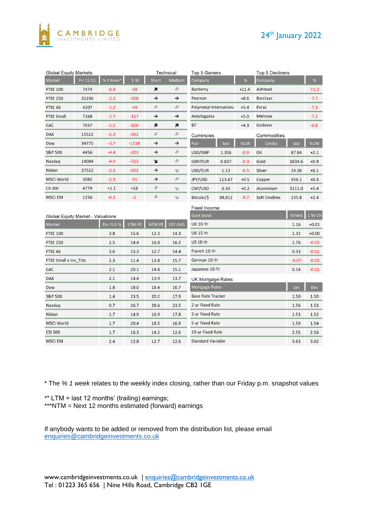



| <b>Global Equity Markets</b>             |           |           | <b>Technical</b> |                          | <b>Top 5 Gainers</b>     |                          | <b>Top 5 Decliners</b> |         |                     |            |                 |
|------------------------------------------|-----------|-----------|------------------|--------------------------|--------------------------|--------------------------|------------------------|---------|---------------------|------------|-----------------|
| Market                                   | Fri 15:51 | %1 Week*  | 1 W              | Short                    | Medium                   | Company                  |                        | %       | Company             |            | $\%$            |
| <b>FTSE 100</b>                          | 7474      | $-0.9$    | $-69$            | A                        | $\sigma$                 | <b>Burberry</b>          |                        | $+11.4$ | Ashtead             |            | $-11.2$         |
| <b>FTSE 250</b>                          | 22236     | $-2.2$    | $-508$           | →                        | →                        | Pearson                  |                        | $+8.6$  | <b>Barclays</b>     |            | $-7.7$          |
| <b>FTSE AS</b>                           | 4207      | $-1.2$    | $-49$            | $\sigma$                 | Ø                        | Polymetal Internationa   |                        | $+5.4$  | <b>Evraz</b>        |            | $-7.3$          |
| <b>FTSE Small</b>                        | 7268      | $-1.7$    | $-127$           | →                        | $\rightarrow$            | Antofagasta              |                        | $+5.0$  | <b>Melrose</b>      |            | $-7.2$          |
| <b>CAC</b>                               | 7037      | $-1.5$    | $-106$           | n                        | n                        | ВT                       |                        | $+4.3$  | Unilever            |            | $-6.8$          |
| <b>DAX</b>                               | 15522     | $-2.3$    | $-362$           | $\sigma$                 | ⇗                        | <b>Currencies</b>        |                        |         | Commodities         |            |                 |
| Dow                                      | 34775     | $-3.7$    | -1338            | →                        | →                        | Pair                     | last                   | %1W     | Cmdty               | last       | $\%1\mathrm{W}$ |
| <b>S&amp;P 500</b>                       | 4456      | $-4.4$    | $-203$           | →                        | $\sigma$                 | USD/GBP                  | 1.356                  | $-0.9$  | Oil                 | 87.84      | $+2.1$          |
| Nasdag                                   | 14084     | $-4.9$    | $-723$           | N                        | ⇗                        | GBP/EUR                  | 0.837                  | $-0.3$  | Gold                | 1834.6     | $+0.9$          |
| <b>Nikkei</b>                            | 27522     | $-2.1$    | $-602$           | →                        | $\infty$                 | USD/EUR                  | 1.13                   | $-0.5$  | Silver              | 24.36      | $+6.1$          |
| <b>MSCI World</b>                        | 3082      | $-2.9$    | $-91$            | →                        | ⇗                        | JPY/USD                  | 113.67                 | $+0.5$  | Copper              | 456.1      | $+0.3$          |
| <b>CSI 300</b>                           | 4779      | $+1.1$    | $+53$            | $\sigma$                 | $\infty$                 | CNY/USD                  | 6.34                   | $+0.2$  | Aluminium           | 3111.0     | $+5.4$          |
| <b>MSCI EM</b>                           | 1256      | $-0.1$    | $-2$             | $\sigma$                 | $\mathbb{S}^2$           | Bitcoin/\$               | 38,812                 | $-9.7$  | <b>Soft Cmdties</b> | 235.8      | $+2.4$          |
|                                          |           |           |                  |                          |                          | <b>Fixed Income</b>      |                        |         |                     |            |                 |
| <b>Global Equity Market - Valuations</b> |           |           |                  |                          |                          | Govt bond                |                        |         |                     | %Yield     | 1 W CH          |
| Market                                   |           | Div YLD % | LTM PE           | NTM PE                   | 10Y AVG                  | <b>UK 10-Yr</b>          |                        |         |                     | 1.16       | $+0.01$         |
| <b>FTSE 100</b>                          |           | 3.8       | 15.6             | 12.3                     | 14.3                     | <b>UK 15-Yr</b>          |                        |         | 1.32                | $+0.00$    |                 |
| <b>FTSE 250</b>                          |           | 2.5       | 14.4             | 16.0                     | 16.2                     | <b>US 10-Yr</b>          |                        |         | 1.76                | $-0.03$    |                 |
| <b>FTSE AS</b>                           |           | 3.6       | 15.3             | 12.7                     | 14.4                     | French 10-Yr             |                        |         |                     | 0.33       | $-0.01$         |
| FTSE Small x Inv_Tsts<br>2.3<br>11.4     |           |           | 13.8             | 15.7                     | German 10-Yr             |                          |                        |         | $-0.07$             | $-0.03$    |                 |
| <b>CAC</b><br>2.1<br>20.1                |           | 14.8      | 15.1             | Japanese 10-Yr           |                          |                          |                        | 0.14    | $-0.01$             |            |                 |
| 2.1<br>14.4<br><b>DAX</b>                |           | 13.9      | 13.7             | <b>UK Mortgage Rates</b> |                          |                          |                        |         |                     |            |                 |
| Dow                                      |           | 1.8       | 18.0             | 18.4                     | 16.7                     | Mortgage Rates           |                        |         | Jan                 | <b>Dec</b> |                 |
| <b>S&amp;P 500</b><br>1.4                |           | 23.5      | 20.2             | 17.9                     | <b>Base Rate Tracker</b> |                          |                        | 1.50    | 1.50                |            |                 |
| Nasdag<br>0.7                            |           | 26.7      | 28.6             | 23.5                     | 2-yr Fixed Rate          |                          |                        | 1.56    | 1.53                |            |                 |
| <b>Nikkei</b><br>1.7                     |           | 14.9      | 16.9             | 17.8                     | 3-yr Fixed Rate          |                          |                        | 1.53    | 1.52                |            |                 |
| <b>MSCI World</b><br>1.7<br>20.4         |           |           | 18.5             | 16.9                     | 5-yr Fixed Rate          |                          |                        | 1.59    | 1.54                |            |                 |
| <b>CSI 300</b><br>1.7                    |           | 16.3      | 14.2             | 12.6                     | 10-yr Fixed Rate         |                          |                        | 2.55    | 2.56                |            |                 |
| <b>MSCI EM</b>                           |           | 2.4       | 12.8             | 12.7                     | 12.6                     | <b>Standard Variable</b> |                        |         | 3.63                | 3.62       |                 |

\* The *% 1 week* relates to the weekly index closing, rather than our Friday p.m. snapshot values

\*\* LTM = last 12 months' (trailing) earnings;

\*\*\*NTM = Next 12 months estimated (forward) earnings

If anybody wants to be added or removed from the distribution list, please email [enquiries@cambridgeinvestments.co.uk](mailto:enquiries@cambridgeinvestments.co.uk)